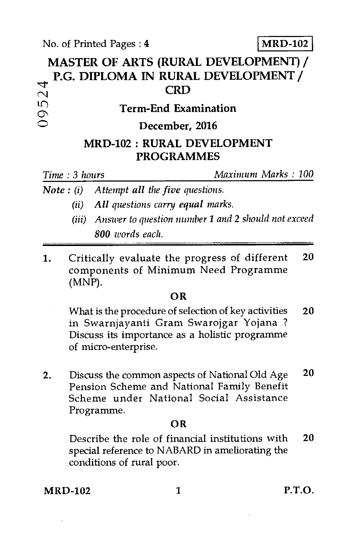No. of Printed Pages : **4 MRD-102** 

## **MASTER OF ARTS (RURAL DEVELOPMENT) / P.G. DIPLOMA IN RURAL DEVELOPMENT /**  c".1 **CRD Term-End Examination December, 2016 MRD-102 : RURAL DEVELOPMENT**

# *Time : 3 hours Maximum Marks : 100 Note : (i) Attempt all the five questions. (ii) All questions carry equal marks. (iii) Answer to question number 1 and 2 should not exceed*

**PROGRAMMES** 

*800 words each.* 

1. Critically evaluate the progress of different **20**  components of Minimum Need Programme (MNP).

### **OR**

What is the procedure of selection of key activities **20**  in Swarnjayanti Gram Swarojgar Yojana ? Discuss its importance as a holistic programme of micro-enterprise.

2. Discuss the common aspects of National Old Age **20**  Pension Scheme and National Family Benefit Scheme under National Social Assistance Programme.

### **OR**

Describe the role of financial institutions with **20**  special reference to NABARD in ameliorating the conditions of rural poor.

**MRD-102** 1 **P.T.O.**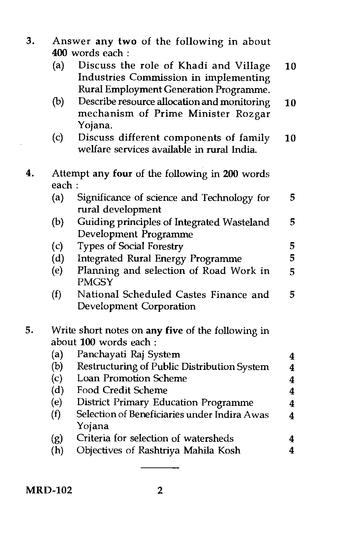| 3. | Answer any two of the following in about<br>400 words each:                |                                                                                                                                        |                         |  |
|----|----------------------------------------------------------------------------|----------------------------------------------------------------------------------------------------------------------------------------|-------------------------|--|
|    | (a)                                                                        | Discuss the role of Khadi and Village<br>Industries Commission in implementing                                                         | 10                      |  |
|    | (b)                                                                        | Rural Employment Generation Programme.<br>Describe resource allocation and monitoring<br>mechanism of Prime Minister Rozgar<br>Yojana. | 10                      |  |
|    | (c)                                                                        | Discuss different components of family<br>welfare services available in rural India.                                                   | 10                      |  |
| 4. | Attempt any four of the following in 200 words<br>each:                    |                                                                                                                                        |                         |  |
|    | (a)                                                                        | Significance of science and Technology for<br>rural development                                                                        | 5                       |  |
|    | (b)                                                                        | Guiding principles of Integrated Wasteland<br>Development Programme                                                                    | 5                       |  |
|    | (c)                                                                        | <b>Types of Social Forestry</b>                                                                                                        | 5                       |  |
|    | (d)                                                                        | <b>Integrated Rural Energy Programme</b>                                                                                               | 5                       |  |
|    | (e)                                                                        | Planning and selection of Road Work in<br><b>PMGSY</b>                                                                                 | 5                       |  |
|    | (f)                                                                        | National Scheduled Castes Finance and<br>Development Corporation                                                                       | 5                       |  |
| 5. | Write short notes on any five of the following in<br>about 100 words each: |                                                                                                                                        |                         |  |
|    | (a)                                                                        | Panchayati Raj System                                                                                                                  | 4                       |  |
|    | (b)                                                                        | Restructuring of Public Distribution System                                                                                            | $\overline{4}$          |  |
|    | (c)                                                                        | Loan Promotion Scheme                                                                                                                  | $\bf{4}$                |  |
|    | (d)                                                                        | Food Credit Scheme                                                                                                                     | $\overline{\mathbf{4}}$ |  |
|    | (e)                                                                        | District Primary Education Programme                                                                                                   | 4                       |  |
|    | (f)                                                                        | Selection of Beneficiaries under Indira Awas<br>Yojana                                                                                 | 4                       |  |
|    | (g)                                                                        | Criteria for selection of watersheds                                                                                                   | 4                       |  |
|    | (h)                                                                        | Objectives of Rashtriya Mahila Kosh                                                                                                    | 4                       |  |

**MRD-102 2**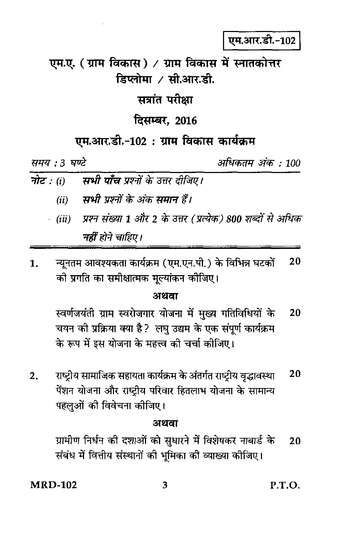### एम.आर.डी.-102

एम.ए. (ग्राम विकास) / ग्राम विकास में स्नातकोत्तर डिप्लोमा / सी.आर.डी.

सत्रांत परीक्षा

### **दिसम्बर, 2016**

### एम.आर.डी.-102 : ग्राम विकास कार्यक्रम

समय : 3 घण्टे

अधिकतम अंक : 100

- सभी पाँच प्रश्नों के उत्तर दीजिए। नोट $:$   $(i)$ 
	- सभी प्रश्नों के अंक समान हैं।  $(ii)$
	- . (iii) प्रश्न संख्या 1 और 2 के उत्तर (प्रत्येक) 800 शब्दों से अधिक नहीं होने चाहिए।
- न्यूनतम आवश्यकता कार्यक्रम (एम.एन.पी.) के विभिन्न घटकों 20 1. की प्रगति का समीक्षात्मक मूल्यांकन कोजिए।

### अथवा

स्वर्णजयंती ग्राम स्वरोजगार योजना में मुख्य गतिविधियों के 20 चयन की प्रक्रिया क्या है? लघु उद्यम के एक संपूर्ण कार्यक्रम के रूप में इस योजना के महत्त्व की चर्चा कीजिए।

राष्ट्रीय सामाजिक सहायता कार्यक्रम के अंतर्गत राष्ट्रीय वृद्धावस्था 20  $2.$ पेंशन योजना और राष्ट्रीय परिवार हितलाभ योजना के सामान्य पहलुओं की विवेचना कोजिए।

### अथवा

ग्रामीण निर्धन की दशाओं को सुधारने में विशेषकर नाबार्ड के 20 संबंध में वित्तीय संस्थानों की भूमिका की व्याख्या कीजिए।

**MRD-102** 

P.T.O.